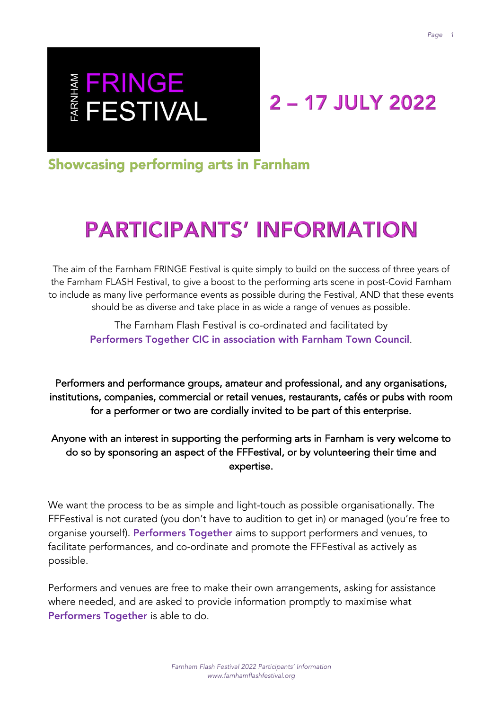# E FRINGE<br>E FESTIVAL

## 2 - 17 JULY 2022

**Showcasing performing arts in Farnham** 

## **PARTICIPANTS' INFORMATION**

The aim of the Farnham FRINGE Festival is quite simply to build on the success of three years of the Farnham FLASH Festival, to give a boost to the performing arts scene in post-Covid Farnham to include as many live performance events as possible during the Festival, AND that these events should be as diverse and take place in as wide a range of venues as possible.

The Farnham Flash Festival is co-ordinated and facilitated by Performers Together CIC in association with Farnham Town Council.

Performers and performance groups, amateur and professional, and any organisations, institutions, companies, commercial or retail venues, restaurants, cafés or pubs with room for a performer or two are cordially invited to be part of this enterprise.

Anyone with an interest in supporting the performing arts in Farnham is very welcome to do so by sponsoring an aspect of the FFFestival, or by volunteering their time and expertise.

We want the process to be as simple and light-touch as possible organisationally. The FFFestival is not curated (you don't have to audition to get in) or managed (you're free to organise yourself). Performers Together aims to support performers and venues, to facilitate performances, and co-ordinate and promote the FFFestival as actively as possible.

Performers and venues are free to make their own arrangements, asking for assistance where needed, and are asked to provide information promptly to maximise what Performers Together is able to do.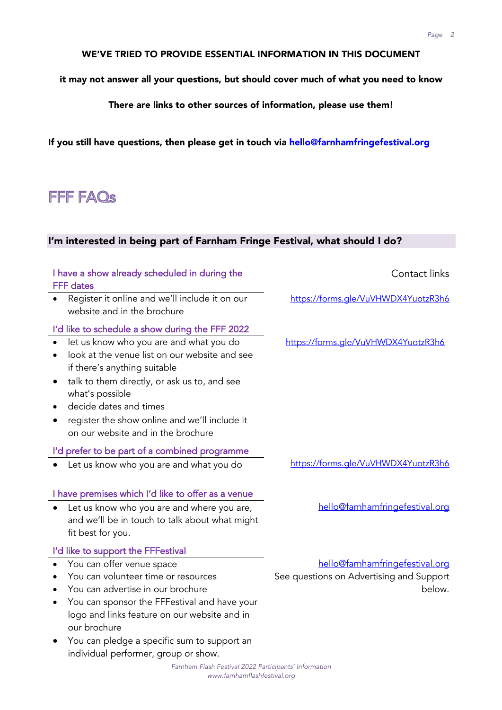#### WE'VE TRIED TO PROVIDE ESSENTIAL INFORMATION IN THIS DOCUMENT

it may not answer all your questions, but should cover much of what you need to know

There are links to other sources of information, please use them!

If you still have questions, then please get in touch via hello@farnhamfringefestival.org

### FFF FAQs

#### I'm interested in being part of Farnham Fringe Festival, what should I do?

| I have a show already scheduled in during the<br><b>FFF</b> dates                                                                                                                                                                                                                                                 | Contact links                                                                         |
|-------------------------------------------------------------------------------------------------------------------------------------------------------------------------------------------------------------------------------------------------------------------------------------------------------------------|---------------------------------------------------------------------------------------|
| Register it online and we'll include it on our<br>website and in the brochure                                                                                                                                                                                                                                     | https://forms.gle/VuVHWDX4YuotzR3h6                                                   |
| I'd like to schedule a show during the FFF 2022                                                                                                                                                                                                                                                                   |                                                                                       |
| let us know who you are and what you do<br>look at the venue list on our website and see<br>if there's anything suitable<br>talk to them directly, or ask us to, and see                                                                                                                                          | https://forms.gle/VuVHWDX4YuotzR3h6                                                   |
| what's possible<br>decide dates and times                                                                                                                                                                                                                                                                         |                                                                                       |
| register the show online and we'll include it<br>on our website and in the brochure                                                                                                                                                                                                                               |                                                                                       |
| I'd prefer to be part of a combined programme                                                                                                                                                                                                                                                                     |                                                                                       |
| Let us know who you are and what you do                                                                                                                                                                                                                                                                           | https://forms.gle/VuVHWDX4YuotzR3h6                                                   |
| I have premises which I'd like to offer as a venue                                                                                                                                                                                                                                                                |                                                                                       |
| Let us know who you are and where you are,<br>and we'll be in touch to talk about what might<br>fit best for you.                                                                                                                                                                                                 | hello@farnhamfringefestival.org                                                       |
| I'd like to support the FFFestival                                                                                                                                                                                                                                                                                |                                                                                       |
| You can offer venue space<br>You can volunteer time or resources<br>You can advertise in our brochure<br>You can sponsor the FFFestival and have your<br>٠<br>logo and links feature on our website and in<br>our brochure<br>You can pledge a specific sum to support an<br>individual performer, group or show. | hello@farnhamfringefestival.org<br>See questions on Advertising and Support<br>below. |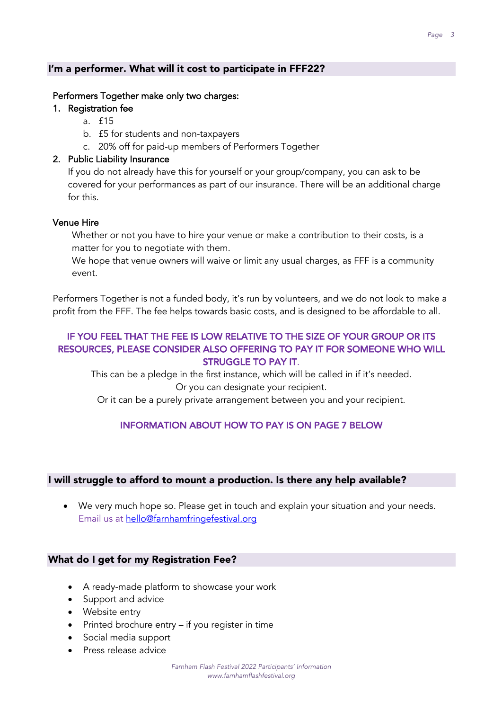#### I'm a performer. What will it cost to participate in FFF22?

#### Performers Together make only two charges:

#### 1. Registration fee

- a. £15
- b. £5 for students and non-taxpayers
- c. 20% off for paid-up members of Performers Together

#### 2. Public Liability Insurance

If you do not already have this for yourself or your group/company, you can ask to be covered for your performances as part of our insurance. There will be an additional charge for this.

#### Venue Hire

Whether or not you have to hire your venue or make a contribution to their costs, is a matter for you to negotiate with them.

We hope that venue owners will waive or limit any usual charges, as FFF is a community event.

Performers Together is not a funded body, it's run by volunteers, and we do not look to make a profit from the FFF. The fee helps towards basic costs, and is designed to be affordable to all.

#### IF YOU FEEL THAT THE FEE IS LOW RELATIVE TO THE SIZE OF YOUR GROUP OR ITS RESOURCES, PLEASE CONSIDER ALSO OFFERING TO PAY IT FOR SOMEONE WHO WILL STRUGGLE TO PAY IT.

This can be a pledge in the first instance, which will be called in if it's needed. Or you can designate your recipient.

Or it can be a purely private arrangement between you and your recipient.

#### INFORMATION ABOUT HOW TO PAY IS ON PAGE 7 BELOW

#### I will struggle to afford to mount a production. Is there any help available?

• We very much hope so. Please get in touch and explain your situation and your needs. Email us at hello@farnhamfringefestival.org

#### What do I get for my Registration Fee?

- A ready-made platform to showcase your work
- Support and advice
- Website entry
- Printed brochure entry if you register in time
- Social media support
- Press release advice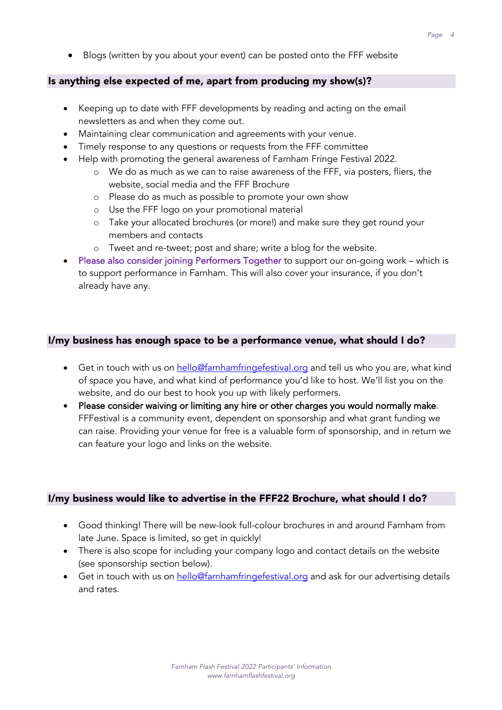• Blogs (written by you about your event) can be posted onto the FFF website

#### Is anything else expected of me, apart from producing my show(s)?

- Keeping up to date with FFF developments by reading and acting on the email newsletters as and when they come out.
- Maintaining clear communication and agreements with your venue.
- Timely response to any questions or requests from the FFF committee
- Help with promoting the general awareness of Farnham Fringe Festival 2022.
	- o We do as much as we can to raise awareness of the FFF, via posters, fliers, the website, social media and the FFF Brochure
	- o Please do as much as possible to promote your own show
	- o Use the FFF logo on your promotional material
	- o Take your allocated brochures (or more!) and make sure they get round your members and contacts
	- o Tweet and re-tweet; post and share; write a blog for the website.
- Please also consider joining Performers Together to support our on-going work which is to support performance in Farnham. This will also cover your insurance, if you don't already have any.

#### I/my business has enough space to be a performance venue, what should I do?

- Get in touch with us on hello@farnhamfringefestival.org and tell us who you are, what kind of space you have, and what kind of performance you'd like to host. We'll list you on the website, and do our best to hook you up with likely performers.
- Please consider waiving or limiting any hire or other charges you would normally make. FFFestival is a community event, dependent on sponsorship and what grant funding we can raise. Providing your venue for free is a valuable form of sponsorship, and in return we can feature your logo and links on the website.

#### I/my business would like to advertise in the FFF22 Brochure, what should I do?

- Good thinking! There will be new-look full-colour brochures in and around Farnham from late June. Space is limited, so get in quickly!
- There is also scope for including your company logo and contact details on the website (see sponsorship section below).
- Get in touch with us on hello@farnhamfringefestival.org and ask for our advertising details and rates.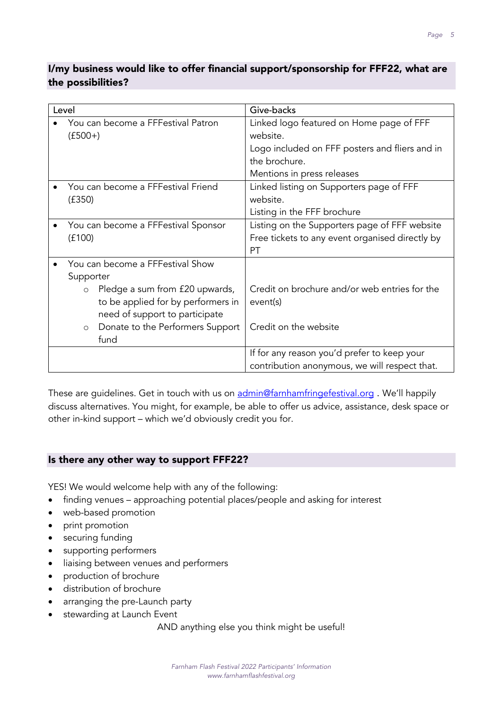#### I/my business would like to offer financial support/sponsorship for FFF22, what are the possibilities?

| Level |                                                                                                                                                                                                                | Give-backs                                                                                                                                            |
|-------|----------------------------------------------------------------------------------------------------------------------------------------------------------------------------------------------------------------|-------------------------------------------------------------------------------------------------------------------------------------------------------|
|       | You can become a FFFestival Patron<br>$(f500+)$                                                                                                                                                                | Linked logo featured on Home page of FFF<br>website.<br>Logo included on FFF posters and fliers and in<br>the brochure.<br>Mentions in press releases |
|       | You can become a FFFestival Friend<br>(f350)                                                                                                                                                                   | Linked listing on Supporters page of FFF<br>website.<br>Listing in the FFF brochure                                                                   |
|       | You can become a FFFestival Sponsor<br>(f100)                                                                                                                                                                  | Listing on the Supporters page of FFF website<br>Free tickets to any event organised directly by<br>PT                                                |
|       | You can become a FFFestival Show<br>Supporter<br>Pledge a sum from £20 upwards,<br>to be applied for by performers in<br>need of support to participate<br>Donate to the Performers Support<br>$\circ$<br>fund | Credit on brochure and/or web entries for the<br>event(s)<br>Credit on the website<br>If for any reason you'd prefer to keep your                     |
|       |                                                                                                                                                                                                                | contribution anonymous, we will respect that.                                                                                                         |

These are guidelines. Get in touch with us on admin@farnhamfringefestival.org. We'll happily discuss alternatives. You might, for example, be able to offer us advice, assistance, desk space or other in-kind support – which we'd obviously credit you for.

#### Is there any other way to support FFF22?

YES! We would welcome help with any of the following:

- finding venues approaching potential places/people and asking for interest
- web-based promotion
- print promotion
- securing funding
- supporting performers
- liaising between venues and performers
- production of brochure
- distribution of brochure
- arranging the pre-Launch party
- stewarding at Launch Event

AND anything else you think might be useful!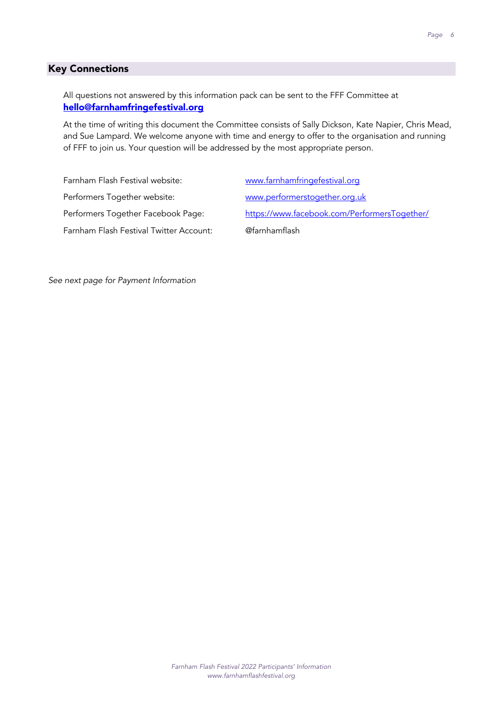#### Key Connections

All questions not answered by this information pack can be sent to the FFF Committee at hello@farnhamfringefestival.org

At the time of writing this document the Committee consists of Sally Dickson, Kate Napier, Chris Mead, and Sue Lampard. We welcome anyone with time and energy to offer to the organisation and running of FFF to join us. Your question will be addressed by the most appropriate person.

| Farnham Flash Festival website:         | www.farnhamfringefestival.org                |
|-----------------------------------------|----------------------------------------------|
| Performers Together website:            | www.performerstogether.org.uk                |
| Performers Together Facebook Page:      | https://www.facebook.com/PerformersTogether/ |
| Farnham Flash Festival Twitter Account: | @farnhamflash                                |

*See next page for Payment Information*